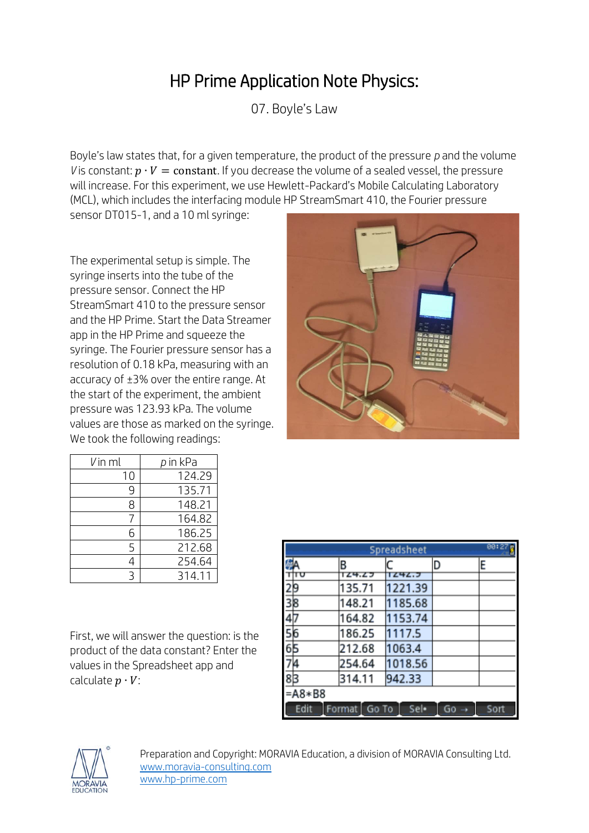## HP Prime Application Note Physics:

07. Boyle's Law

Boyle's law states that, for a given temperature, the product of the pressure *p* and the volume *V* is constant:  $p \cdot V = constant$ . If you decrease the volume of a sealed vessel, the pressure will increase. For this experiment, we use Hewlett-Packard's Mobile Calculating Laboratory (MCL), which includes the interfacing module HP StreamSmart 410, the Fourier pressure

sensor DT015-1, and a 10 ml syringe:

The experimental setup is simple. The syringe inserts into the tube of the pressure sensor. Connect the HP StreamSmart 410 to the pressure sensor and the HP Prime. Start the Data Streamer app in the HP Prime and squeeze the syringe. The Fourier pressure sensor has a resolution of 0.18 kPa, measuring with an accuracy of ±3% over the entire range. At the start of the experiment, the ambient pressure was 123.93 kPa. The volume values are those as marked on the syringe. We took the following readings:



| Vin ml | <i>p</i> in kPa |
|--------|-----------------|
| 10     | 124.29          |
| 9      | 135.71          |
| 8      | 148.21          |
|        | 164.82          |
| հ      | 186.25          |
| 5      | 212.68          |
|        | 254.64          |
|        | 314.11          |

First, we will answer the question: is the product of the data constant? Enter the values in the Spreadsheet app and calculate  $p \cdot V$ :

|                                                         | 80:27<br>Spreadsheet |                 |         |    |      |  |  |
|---------------------------------------------------------|----------------------|-----------------|---------|----|------|--|--|
|                                                         |                      | B               |         | D  | E    |  |  |
|                                                         |                      | 124.25          | 1242.7  |    |      |  |  |
|                                                         |                      | 135.71          | 1221.39 |    |      |  |  |
|                                                         |                      | 148.21          | 1185.68 |    |      |  |  |
|                                                         |                      | 164.82          | 1153.74 |    |      |  |  |
|                                                         |                      | 186.25          | 1117.5  |    |      |  |  |
| $\frac{2}{3}$ $\frac{3}{4}$ $\frac{4}{5}$ $\frac{5}{7}$ |                      | 212.68          | 1063.4  |    |      |  |  |
|                                                         |                      | 254.64          | 1018.56 |    |      |  |  |
| $8\overline{3}$                                         |                      | 314.11          | 942.33  |    |      |  |  |
|                                                         | $= A8 * B8$          |                 |         |    |      |  |  |
|                                                         | Edit                 | Format<br>Go To | Sel·    | Gо | Sort |  |  |



Preparation and Copyright: MORAVIA Education, a division of MORAVIA Consulting Ltd. [www.moravia-consulting.com](http://www.moravia-consulting.com/) [www.hp-prime.com](http://www.hp-prime.com/)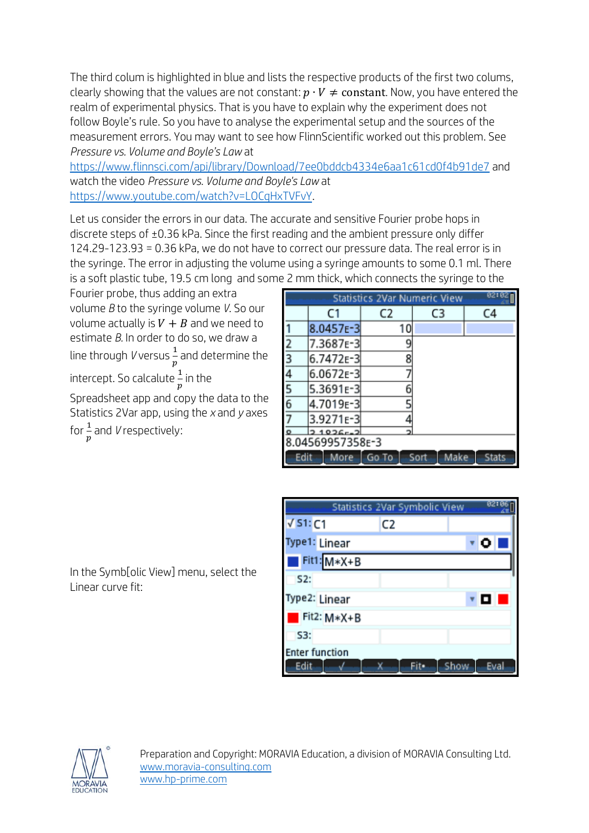The third colum is highlighted in blue and lists the respective products of the first two colums, clearly showing that the values are not constant:  $p \cdot V \neq constant$ . Now, you have entered the realm of experimental physics. That is you have to explain why the experiment does not follow Boyle's rule. So you have to analyse the experimental setup and the sources of the measurement errors. You may want to see how FlinnScientific worked out this problem. See *Pressure vs. Volume and Boyle's Law* at

<https://www.flinnsci.com/api/library/Download/7ee0bddcb4334e6aa1c61cd0f4b91de7> and watch the video *Pressure vs. Volume and Boyle's Law* at [https://www.youtube.com/watch?v=LOCqHxTVFvY.](https://www.youtube.com/watch?v=LOCqHxTVFvY)

Let us consider the errors in our data. The accurate and sensitive Fourier probe hops in discrete steps of ±0.36 kPa. Since the first reading and the ambient pressure only differ 124.29-123.93 = 0.36 kPa, we do not have to correct our pressure data. The real error is in the syringe. The error in adjusting the volume using a syringe amounts to some 0.1 ml. There is a soft plastic tube, 19.5 cm long and some 2 mm thick, which connects the syringe to the

Fourier probe, thus adding an extra volume *B* to the syringe volume *V*. So our volume actually is  $V + B$  and we need to estimate *B.* In order to do so, we draw a line through *V* versus 1  $\frac{1}{p}$  and determine the intercept. So calcalute  $\frac{1}{p}$  in the

Spreadsheet app and copy the data to the Statistics 2Var app, using the *x* and *y* axes for  $\frac{1}{p}$  and *V* respectively:

In the Symb[olic View] menu, select the

| 82:82<br><b>Statistics 2Var Numeric View</b> |             |       |              |              |  |  |
|----------------------------------------------|-------------|-------|--------------|--------------|--|--|
|                                              | C1          | C2    | C3           | C4           |  |  |
|                                              | 8.0457E-3   | 10    |              |              |  |  |
| 2                                            | 7.3687E-3   |       |              |              |  |  |
| $\overline{\overline{3}}$                    | 6.7472E-3   | 8     |              |              |  |  |
| 4                                            | 6.0672E-3   |       |              |              |  |  |
| 5                                            | 5.3691E-3   |       |              |              |  |  |
| $\overline{6}$                               | 4.7019E-3   | ς     |              |              |  |  |
| 7                                            | 3.9271E-3   |       |              |              |  |  |
|                                              | $21026 - 2$ |       |              |              |  |  |
| 8.04569957358E-3                             |             |       |              |              |  |  |
| Edit                                         | More        | Go To | Make<br>Sort | <b>Stats</b> |  |  |

|                       | Statistics 2Var Symbolic View | 82:06        |
|-----------------------|-------------------------------|--------------|
| $\sqrt{51:}C1$        | C <sub>2</sub>                |              |
| Type1: Linear         |                               | ∗ O I        |
| $Fit1: M*X+B$         |                               |              |
| 52:                   |                               |              |
| Type2: Linear         |                               | DЕ           |
| Fit2: M*X+B           |                               |              |
| S3:                   |                               |              |
| <b>Enter function</b> |                               |              |
| Edit                  | Fite                          | Eval<br>Show |



Linear curve fit: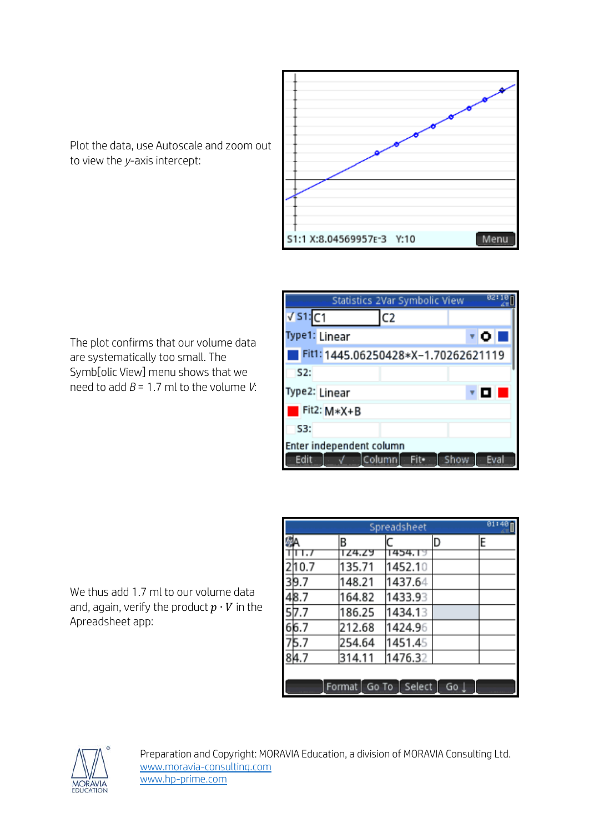

Plot the data, use Autoscale and zoom out to view the *y*-axis intercept:

The plot confirms that our volume data are systematically too small. The Symb[olic View] menu shows that we need to add  $B = 1.7$  ml to the volume *V*:

| Statistics 2Var Symbolic View       | 821          |
|-------------------------------------|--------------|
| $\sqrt{51}$ C1<br>C2                |              |
| Type1: Linear                       | ∗ o i        |
| Fit1: 1445.06250428*X-1.70262621119 |              |
| S2:                                 |              |
| Type2: Linear                       | o            |
| Fit2: M*X+B                         |              |
| S3:                                 |              |
| Enter independent column            |              |
| Columni<br>Edit<br>Fite             | Eval<br>Show |

We thus add 1.7 ml to our volume data and, again, verify the product  $p \cdot V$  in the Apreadsheet app:

| 01:48<br>Spreadsheet |                         |         |      |   |  |  |
|----------------------|-------------------------|---------|------|---|--|--|
|                      | B                       |         | D    | E |  |  |
|                      | TZ4.Z9                  | 1454.19 |      |   |  |  |
| 10.7                 | 135.71                  | 1452.10 |      |   |  |  |
| 39.7                 | 148.21                  | 1437.64 |      |   |  |  |
| 48.7                 | 164.82                  | 1433.93 |      |   |  |  |
| 57.7                 | 186.25                  | 1434.13 |      |   |  |  |
| 66.7                 | 212.68                  | 1424.96 |      |   |  |  |
| 5.7                  | 254.64                  | 1451.45 |      |   |  |  |
| 84.7                 | 314.11                  | 1476.32 |      |   |  |  |
|                      |                         |         |      |   |  |  |
|                      | Format   Go To   Select |         | Go L |   |  |  |



Preparation and Copyright: MORAVIA Education, a division of MORAVIA Consulting Ltd. [www.moravia-consulting.com](http://www.moravia-consulting.com/) [www.hp-prime.com](http://www.hp-prime.com/)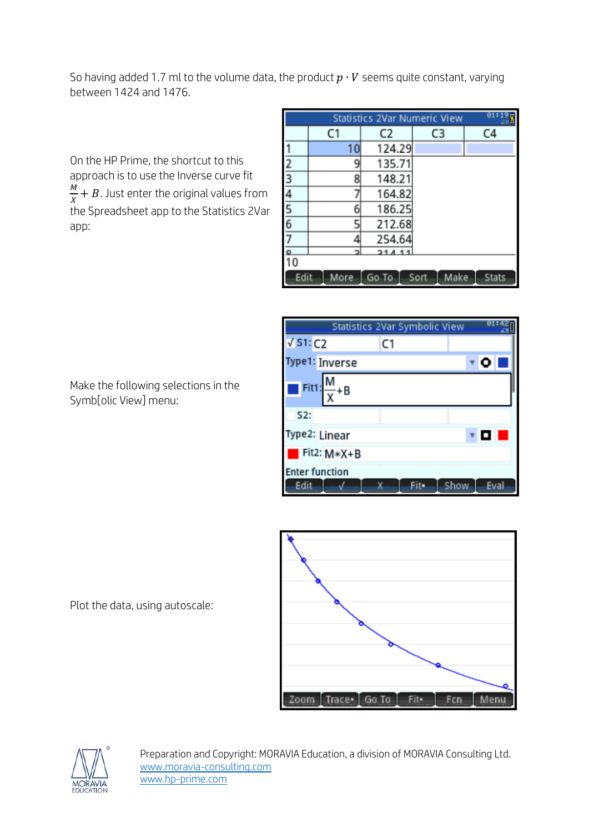So having added 1.7 ml to the volume data, the product  $p \cdot V$  seems quite constant, varying between 1424 and 1476.

On the HP Prime, the shortcut to this approach is to use the Inverse curve fit <u>M</u>  $\frac{M}{X} + B$ . Just enter the original values from the Spreadsheet app to the Statistics 2Var app:

|                         | 01:1<br><b>Statistics 2Var Numeric View</b>           |        |    |    |  |  |
|-------------------------|-------------------------------------------------------|--------|----|----|--|--|
|                         | C1                                                    | C2     | C3 | C4 |  |  |
|                         | 10                                                    | 124.29 |    |    |  |  |
| $\overline{2}$          | 9                                                     | 135.71 |    |    |  |  |
| $\overline{\mathbf{3}}$ | 8                                                     | 148.21 |    |    |  |  |
|                         |                                                       | 164.82 |    |    |  |  |
| $\frac{4}{5}$           | б                                                     | 186.25 |    |    |  |  |
|                         | 5                                                     | 212.68 |    |    |  |  |
| 7                       |                                                       | 254.64 |    |    |  |  |
|                         |                                                       | 21411  |    |    |  |  |
| 10                      |                                                       |        |    |    |  |  |
|                         | Edit<br>Make<br><b>Stats</b><br>Sort<br>More<br>Go To |        |    |    |  |  |

|                             | Statistics 2Var Symbolic View |              |
|-----------------------------|-------------------------------|--------------|
| $\sqrt{51:}$ C <sub>2</sub> | C1                            |              |
| Type1: Inverse              |                               | ۰o           |
| Fit1:                       |                               |              |
| 52:                         |                               |              |
| Type2: Linear               |                               | ▐◘           |
| Fit2: M*X+B                 |                               |              |
| <b>Enter function</b>       |                               |              |
| Edit                        |                               | Show<br>Eval |



Make the following selections in the Symb[olic View] menu:

Plot the data, using autoscale:



Preparation and Copyright: MORAVIA Education, a division of MORAVIA Consulting Ltd. [www.moravia-consulting.com](http://www.moravia-consulting.com/) [www.hp-prime.com](http://www.hp-prime.com/)